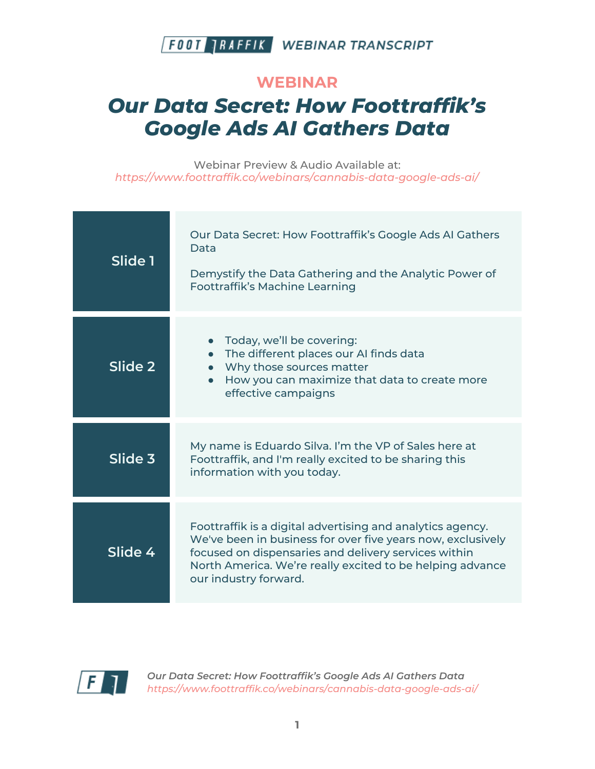

#### **WEBINAR**

# *Our Data Secret: How Foottraffik's Google Ads AI Gathers Data*

Webinar Preview & Audio Available at: *https://www.foottraffik.co/webinars/cannabis-data-google-ads-ai/*

| Slide 1 | Our Data Secret: How Foottraffik's Google Ads AI Gathers<br>Data<br>Demystify the Data Gathering and the Analytic Power of<br><b>Foottraffik's Machine Learning</b>                                                                                                     |
|---------|-------------------------------------------------------------------------------------------------------------------------------------------------------------------------------------------------------------------------------------------------------------------------|
| Slide 2 | Today, we'll be covering:<br>The different places our AI finds data<br>• Why those sources matter<br>• How you can maximize that data to create more<br>effective campaigns                                                                                             |
| Slide 3 | My name is Eduardo Silva. I'm the VP of Sales here at<br>Foottraffik, and I'm really excited to be sharing this<br>information with you today.                                                                                                                          |
| Slide 4 | Foottraffik is a digital advertising and analytics agency.<br>We've been in business for over five years now, exclusively<br>focused on dispensaries and delivery services within<br>North America. We're really excited to be helping advance<br>our industry forward. |

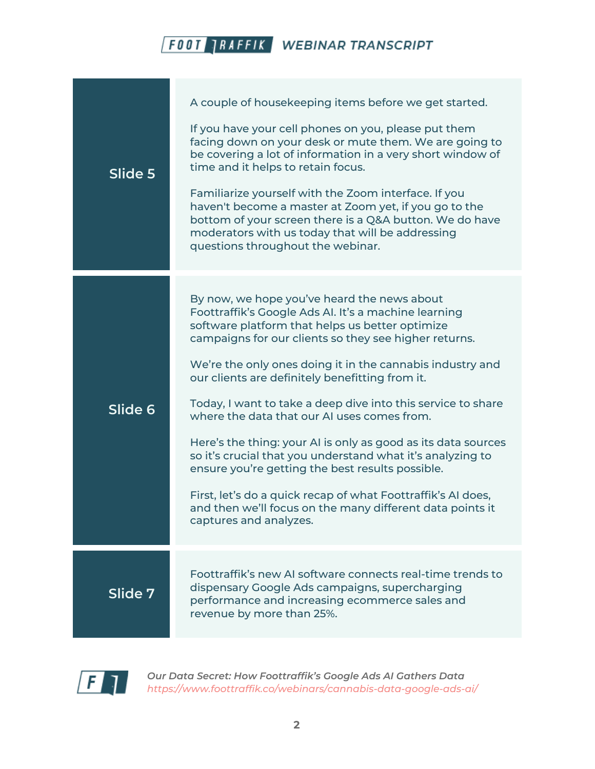| Slide 5 | A couple of housekeeping items before we get started.<br>If you have your cell phones on you, please put them<br>facing down on your desk or mute them. We are going to<br>be covering a lot of information in a very short window of<br>time and it helps to retain focus.<br>Familiarize yourself with the Zoom interface. If you<br>haven't become a master at Zoom yet, if you go to the<br>bottom of your screen there is a Q&A button. We do have<br>moderators with us today that will be addressing<br>questions throughout the webinar.                                                                                                                                                                                                                                         |
|---------|------------------------------------------------------------------------------------------------------------------------------------------------------------------------------------------------------------------------------------------------------------------------------------------------------------------------------------------------------------------------------------------------------------------------------------------------------------------------------------------------------------------------------------------------------------------------------------------------------------------------------------------------------------------------------------------------------------------------------------------------------------------------------------------|
| Slide 6 | By now, we hope you've heard the news about<br>Foottraffik's Google Ads Al. It's a machine learning<br>software platform that helps us better optimize<br>campaigns for our clients so they see higher returns.<br>We're the only ones doing it in the cannabis industry and<br>our clients are definitely benefitting from it.<br>Today, I want to take a deep dive into this service to share<br>where the data that our AI uses comes from.<br>Here's the thing: your AI is only as good as its data sources<br>so it's crucial that you understand what it's analyzing to<br>ensure you're getting the best results possible.<br>First, let's do a quick recap of what Foottraffik's AI does,<br>and then we'll focus on the many different data points it<br>captures and analyzes. |
| Slide 7 | Foottraffik's new AI software connects real-time trends to<br>dispensary Google Ads campaigns, supercharging<br>performance and increasing ecommerce sales and<br>revenue by more than 25%.                                                                                                                                                                                                                                                                                                                                                                                                                                                                                                                                                                                              |

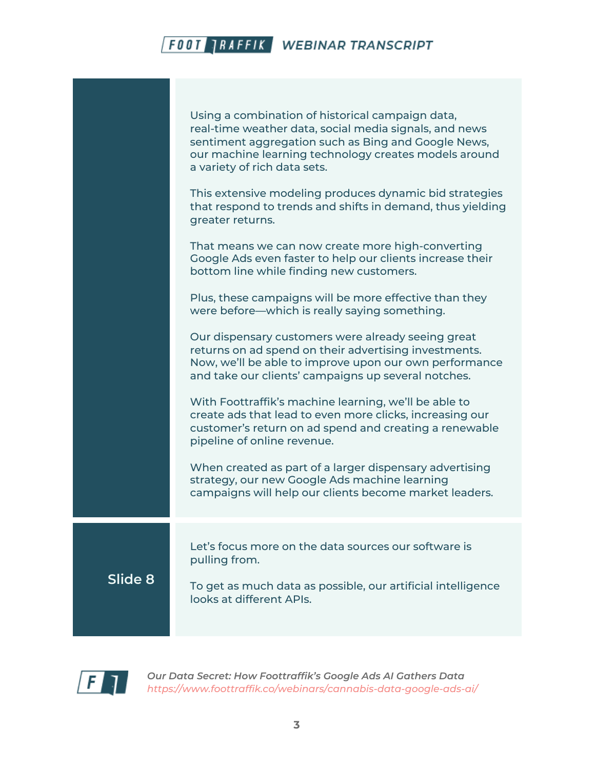|         | Using a combination of historical campaign data,<br>real-time weather data, social media signals, and news<br>sentiment aggregation such as Bing and Google News,<br>our machine learning technology creates models around<br>a variety of rich data sets.<br>This extensive modeling produces dynamic bid strategies<br>that respond to trends and shifts in demand, thus yielding<br>greater returns.<br>That means we can now create more high-converting<br>Google Ads even faster to help our clients increase their<br>bottom line while finding new customers.<br>Plus, these campaigns will be more effective than they<br>were before—which is really saying something.<br>Our dispensary customers were already seeing great<br>returns on ad spend on their advertising investments.<br>Now, we'll be able to improve upon our own performance<br>and take our clients' campaigns up several notches.<br>With Foottraffik's machine learning, we'll be able to<br>create ads that lead to even more clicks, increasing our<br>customer's return on ad spend and creating a renewable |
|---------|-------------------------------------------------------------------------------------------------------------------------------------------------------------------------------------------------------------------------------------------------------------------------------------------------------------------------------------------------------------------------------------------------------------------------------------------------------------------------------------------------------------------------------------------------------------------------------------------------------------------------------------------------------------------------------------------------------------------------------------------------------------------------------------------------------------------------------------------------------------------------------------------------------------------------------------------------------------------------------------------------------------------------------------------------------------------------------------------------|
|         | pipeline of online revenue.<br>When created as part of a larger dispensary advertising<br>strategy, our new Google Ads machine learning<br>campaigns will help our clients become market leaders.                                                                                                                                                                                                                                                                                                                                                                                                                                                                                                                                                                                                                                                                                                                                                                                                                                                                                               |
| Slide 8 | Let's focus more on the data sources our software is<br>pulling from.<br>To get as much data as possible, our artificial intelligence<br>looks at different APIs.                                                                                                                                                                                                                                                                                                                                                                                                                                                                                                                                                                                                                                                                                                                                                                                                                                                                                                                               |

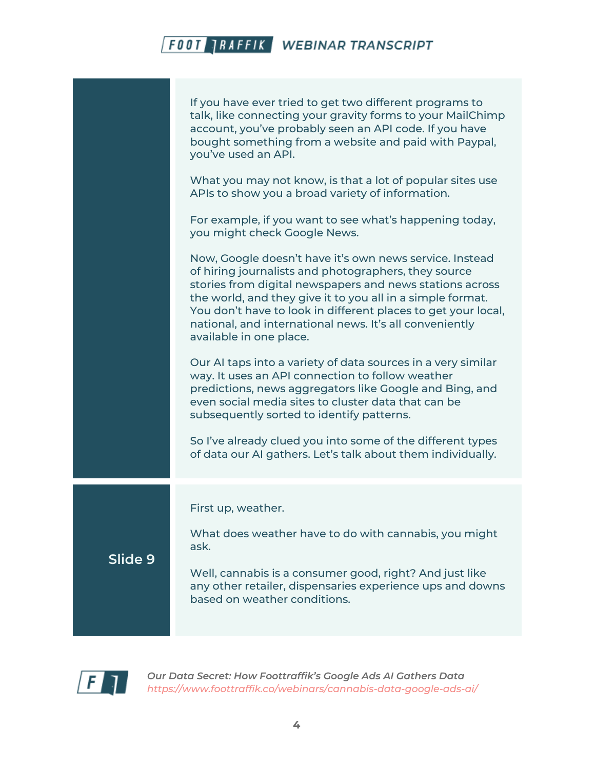|         | If you have ever tried to get two different programs to<br>talk, like connecting your gravity forms to your MailChimp<br>account, you've probably seen an API code. If you have<br>bought something from a website and paid with Paypal,<br>you've used an API.                                                                                                                                  |
|---------|--------------------------------------------------------------------------------------------------------------------------------------------------------------------------------------------------------------------------------------------------------------------------------------------------------------------------------------------------------------------------------------------------|
|         | What you may not know, is that a lot of popular sites use<br>APIs to show you a broad variety of information.                                                                                                                                                                                                                                                                                    |
|         | For example, if you want to see what's happening today,<br>you might check Google News.                                                                                                                                                                                                                                                                                                          |
|         | Now, Google doesn't have it's own news service. Instead<br>of hiring journalists and photographers, they source<br>stories from digital newspapers and news stations across<br>the world, and they give it to you all in a simple format.<br>You don't have to look in different places to get your local,<br>national, and international news. It's all conveniently<br>available in one place. |
|         | Our AI taps into a variety of data sources in a very similar<br>way. It uses an API connection to follow weather<br>predictions, news aggregators like Google and Bing, and<br>even social media sites to cluster data that can be<br>subsequently sorted to identify patterns.                                                                                                                  |
|         | So I've already clued you into some of the different types<br>of data our AI gathers. Let's talk about them individually.                                                                                                                                                                                                                                                                        |
|         | First up, weather.                                                                                                                                                                                                                                                                                                                                                                               |
| Slide 9 | What does weather have to do with cannabis, you might<br>ask.                                                                                                                                                                                                                                                                                                                                    |
|         | Well, cannabis is a consumer good, right? And just like<br>any other retailer, dispensaries experience ups and downs<br>based on weather conditions.                                                                                                                                                                                                                                             |
|         |                                                                                                                                                                                                                                                                                                                                                                                                  |

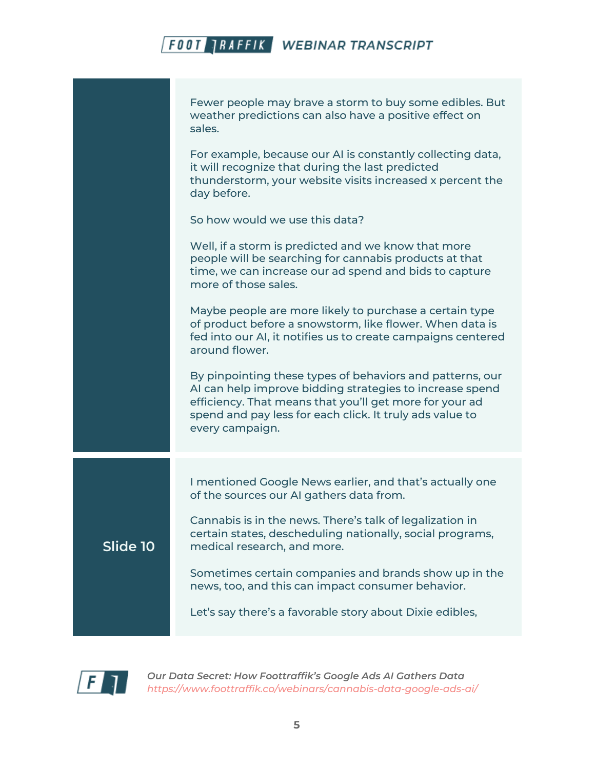Fewer people may brave a storm to buy some edibles. But weather predictions can also have a positive effect on sales.

For example, because our AI is constantly collecting data, it will recognize that during the last predicted thunderstorm, your website visits increased x percent the day before.

So how would we use this data?

Well, if a storm is predicted and we know that more people will be searching for cannabis products at that time, we can increase our ad spend and bids to capture more of those sales.

Maybe people are more likely to purchase a certain type of product before a snowstorm, like flower. When data is fed into our AI, it notifies us to create campaigns centered around flower.

By pinpointing these types of behaviors and patterns, our AI can help improve bidding strategies to increase spend efficiency. That means that you'll get more for your ad spend and pay less for each click. It truly ads value to every campaign.

I mentioned Google News earlier, and that's actually one of the sources our AI gathers data from.

Cannabis is in the news. There's talk of legalization in certain states, descheduling nationally, social programs, medical research, and more.

Sometimes certain companies and brands show up in the news, too, and this can impact consumer behavior.

Let's say there's a favorable story about Dixie edibles,



**Slide 10**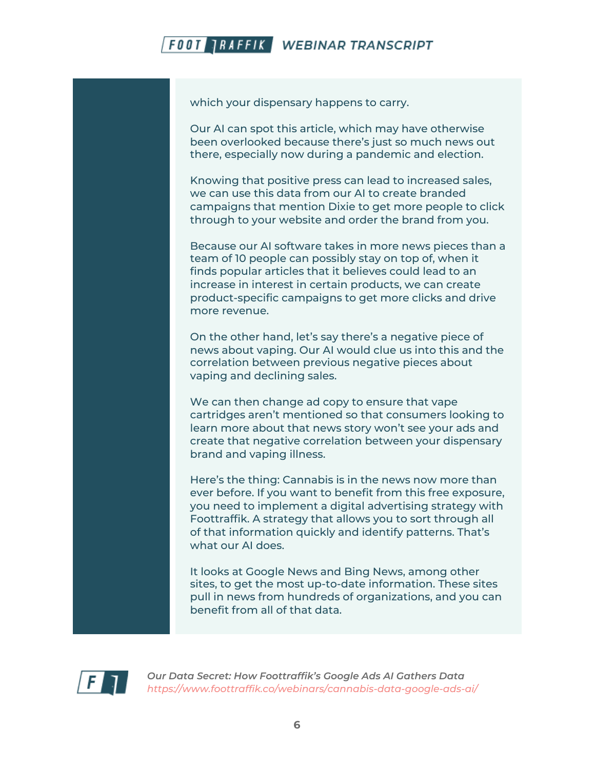which your dispensary happens to carry.

Our AI can spot this article, which may have otherwise been overlooked because there's just so much news out there, especially now during a pandemic and election.

Knowing that positive press can lead to increased sales, we can use this data from our AI to create branded campaigns that mention Dixie to get more people to click through to your website and order the brand from you.

Because our AI software takes in more news pieces than a team of 10 people can possibly stay on top of, when it finds popular articles that it believes could lead to an increase in interest in certain products, we can create product-specific campaigns to get more clicks and drive more revenue.

On the other hand, let's say there's a negative piece of news about vaping. Our AI would clue us into this and the correlation between previous negative pieces about vaping and declining sales.

We can then change ad copy to ensure that vape cartridges aren't mentioned so that consumers looking to learn more about that news story won't see your ads and create that negative correlation between your dispensary brand and vaping illness.

Here's the thing: Cannabis is in the news now more than ever before. If you want to benefit from this free exposure, you need to implement a digital advertising strategy with Foottraffik. A strategy that allows you to sort through all of that information quickly and identify patterns. That's what our AI does.

It looks at Google News and Bing News, among other sites, to get the most up-to-date information. These sites pull in news from hundreds of organizations, and you can benefit from all of that data.

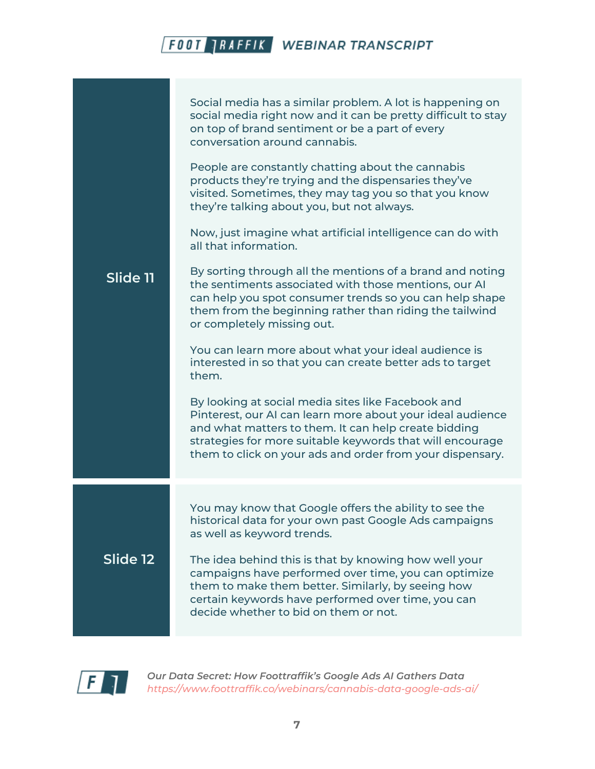| Slide 11 | Social media has a similar problem. A lot is happening on<br>social media right now and it can be pretty difficult to stay<br>on top of brand sentiment or be a part of every<br>conversation around cannabis.<br>People are constantly chatting about the cannabis<br>products they're trying and the dispensaries they've<br>visited. Sometimes, they may tag you so that you know<br>they're talking about you, but not always.<br>Now, just imagine what artificial intelligence can do with<br>all that information.<br>By sorting through all the mentions of a brand and noting<br>the sentiments associated with those mentions, our AI<br>can help you spot consumer trends so you can help shape<br>them from the beginning rather than riding the tailwind<br>or completely missing out.<br>You can learn more about what your ideal audience is<br>interested in so that you can create better ads to target<br>them.<br>By looking at social media sites like Facebook and<br>Pinterest, our AI can learn more about your ideal audience<br>and what matters to them. It can help create bidding |
|----------|---------------------------------------------------------------------------------------------------------------------------------------------------------------------------------------------------------------------------------------------------------------------------------------------------------------------------------------------------------------------------------------------------------------------------------------------------------------------------------------------------------------------------------------------------------------------------------------------------------------------------------------------------------------------------------------------------------------------------------------------------------------------------------------------------------------------------------------------------------------------------------------------------------------------------------------------------------------------------------------------------------------------------------------------------------------------------------------------------------------|
|          | strategies for more suitable keywords that will encourage<br>them to click on your ads and order from your dispensary.                                                                                                                                                                                                                                                                                                                                                                                                                                                                                                                                                                                                                                                                                                                                                                                                                                                                                                                                                                                        |
| Slide 12 | You may know that Google offers the ability to see the<br>historical data for your own past Google Ads campaigns<br>as well as keyword trends.<br>The idea behind this is that by knowing how well your<br>campaigns have performed over time, you can optimize<br>them to make them better. Similarly, by seeing how<br>certain keywords have performed over time, you can<br>decide whether to bid on them or not.                                                                                                                                                                                                                                                                                                                                                                                                                                                                                                                                                                                                                                                                                          |

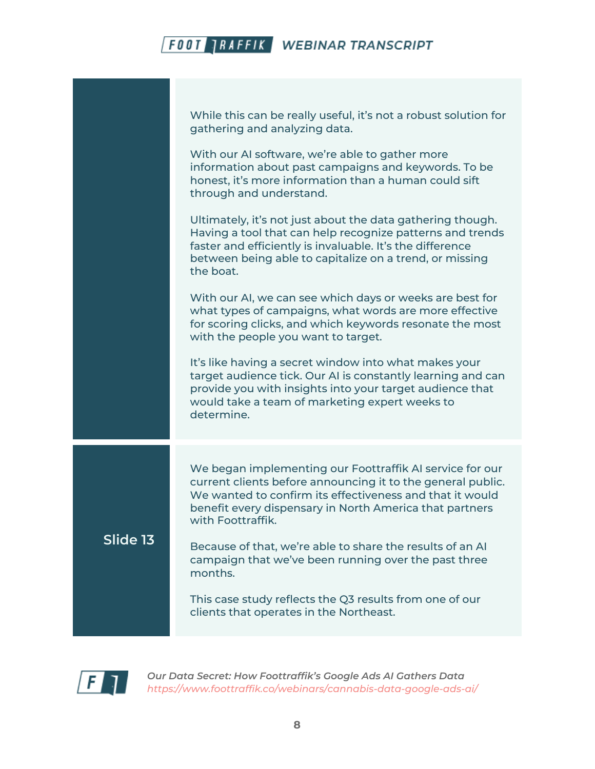|          | While this can be really useful, it's not a robust solution for<br>gathering and analyzing data.<br>With our AI software, we're able to gather more<br>information about past campaigns and keywords. To be<br>honest, it's more information than a human could sift<br>through and understand.<br>Ultimately, it's not just about the data gathering though. |
|----------|---------------------------------------------------------------------------------------------------------------------------------------------------------------------------------------------------------------------------------------------------------------------------------------------------------------------------------------------------------------|
|          | Having a tool that can help recognize patterns and trends<br>faster and efficiently is invaluable. It's the difference<br>between being able to capitalize on a trend, or missing<br>the boat.                                                                                                                                                                |
|          | With our AI, we can see which days or weeks are best for<br>what types of campaigns, what words are more effective<br>for scoring clicks, and which keywords resonate the most<br>with the people you want to target.                                                                                                                                         |
|          | It's like having a secret window into what makes your<br>target audience tick. Our AI is constantly learning and can<br>provide you with insights into your target audience that<br>would take a team of marketing expert weeks to<br>determine.                                                                                                              |
| Slide 13 | We began implementing our Foottraffik AI service for our<br>current clients before announcing it to the general public.<br>We wanted to confirm its effectiveness and that it would<br>benefit every dispensary in North America that partners<br>with Foottraffik.                                                                                           |
|          | Because of that, we're able to share the results of an Al<br>campaign that we've been running over the past three<br>months.                                                                                                                                                                                                                                  |
|          | This case study reflects the Q3 results from one of our<br>clients that operates in the Northeast.                                                                                                                                                                                                                                                            |

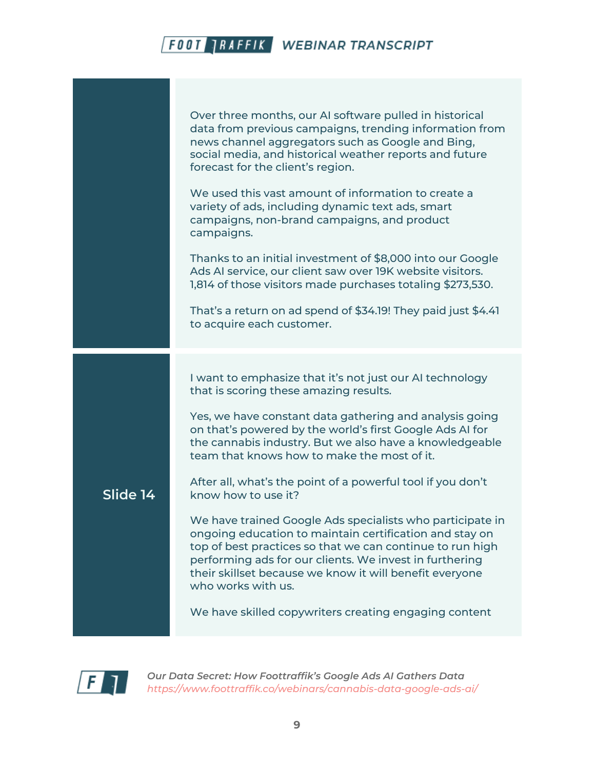|          | Over three months, our AI software pulled in historical<br>data from previous campaigns, trending information from<br>news channel aggregators such as Google and Bing,<br>social media, and historical weather reports and future<br>forecast for the client's region.<br>We used this vast amount of information to create a<br>variety of ads, including dynamic text ads, smart<br>campaigns, non-brand campaigns, and product<br>campaigns.<br>Thanks to an initial investment of \$8,000 into our Google<br>Ads AI service, our client saw over 19K website visitors.<br>1,814 of those visitors made purchases totaling \$273,530.<br>That's a return on ad spend of \$34.19! They paid just \$4.41<br>to acquire each customer.                                                                             |
|----------|---------------------------------------------------------------------------------------------------------------------------------------------------------------------------------------------------------------------------------------------------------------------------------------------------------------------------------------------------------------------------------------------------------------------------------------------------------------------------------------------------------------------------------------------------------------------------------------------------------------------------------------------------------------------------------------------------------------------------------------------------------------------------------------------------------------------|
| Slide 14 | I want to emphasize that it's not just our AI technology<br>that is scoring these amazing results.<br>Yes, we have constant data gathering and analysis going<br>on that's powered by the world's first Google Ads AI for<br>the cannabis industry. But we also have a knowledgeable<br>team that knows how to make the most of it.<br>After all, what's the point of a powerful tool if you don't<br>know how to use it?<br>We have trained Google Ads specialists who participate in<br>ongoing education to maintain certification and stay on<br>top of best practices so that we can continue to run high<br>performing ads for our clients. We invest in furthering<br>their skillset because we know it will benefit everyone<br>who works with us.<br>We have skilled copywriters creating engaging content |

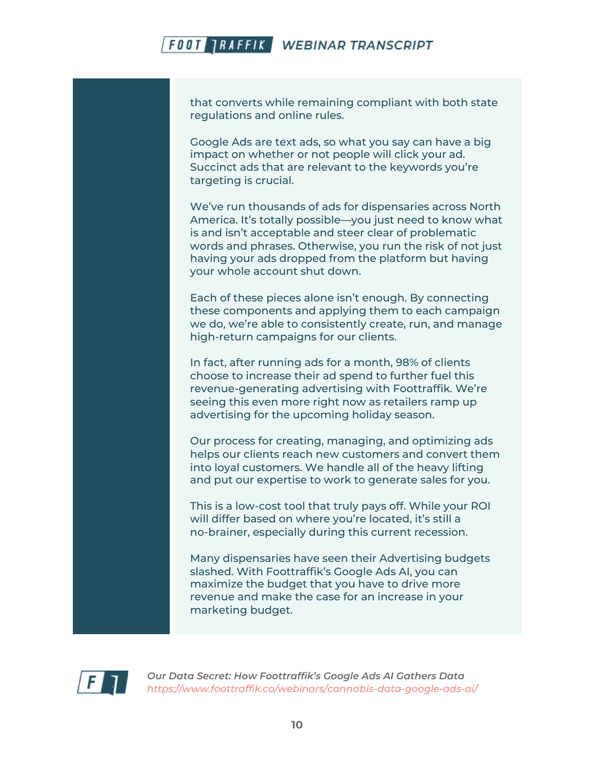that converts while remaining compliant with both state regulations and online rules.

Google Ads are text ads, so what you say can have a big impact on whether or not people will click your ad. Succinct ads that are relevant to the keywords you're targeting is crucial.

We've run thousands of ads for dispensaries across North America. It's totally possible—you just need to know what is and isn't acceptable and steer clear of problematic words and phrases. Otherwise, you run the risk of not just having your ads dropped from the platform but having your whole account shut down.

Each of these pieces alone isn't enough. By connecting these components and applying them to each campaign we do, we're able to consistently create, run, and manage high-return campaigns for our clients.

In fact, after running ads for a month, 98% of clients choose to increase their ad spend to further fuel this revenue-generating advertising with Foottraffik. We're seeing this even more right now as retailers ramp up advertising for the upcoming holiday season.

Our process for creating, managing, and optimizing ads helps our clients reach new customers and convert them into loyal customers. We handle all of the heavy lifting and put our expertise to work to generate sales for you.

This is a low-cost tool that truly pays off. While your ROI will differ based on where you're located, it's still a no-brainer, especially during this current recession.

Many dispensaries have seen their Advertising budgets slashed. With Foottraffik's Google Ads AI, you can maximize the budget that you have to drive more revenue and make the case for an increase in your marketing budget.

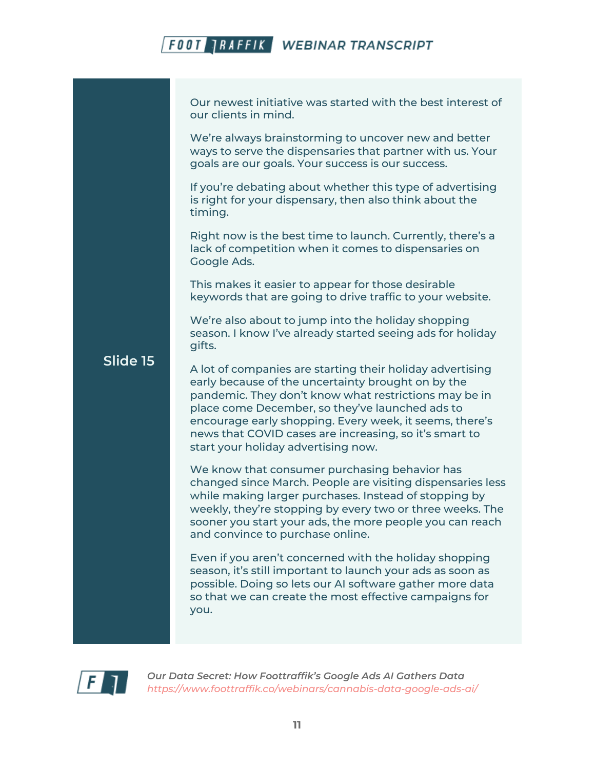Our newest initiative was started with the best interest of our clients in mind.

We're always brainstorming to uncover new and better ways to serve the dispensaries that partner with us. Your goals are our goals. Your success is our success.

If you're debating about whether this type of advertising is right for your dispensary, then also think about the timing.

Right now is the best time to launch. Currently, there's a lack of competition when it comes to dispensaries on Google Ads.

This makes it easier to appear for those desirable keywords that are going to drive traffic to your website.

We're also about to jump into the holiday shopping season. I know I've already started seeing ads for holiday gifts.

#### **Slide 15**

A lot of companies are starting their holiday advertising early because of the uncertainty brought on by the pandemic. They don't know what restrictions may be in place come December, so they've launched ads to encourage early shopping. Every week, it seems, there's news that COVID cases are increasing, so it's smart to start your holiday advertising now.

We know that consumer purchasing behavior has changed since March. People are visiting dispensaries less while making larger purchases. Instead of stopping by weekly, they're stopping by every two or three weeks. The sooner you start your ads, the more people you can reach and convince to purchase online.

Even if you aren't concerned with the holiday shopping season, it's still important to launch your ads as soon as possible. Doing so lets our AI software gather more data so that we can create the most effective campaigns for you.